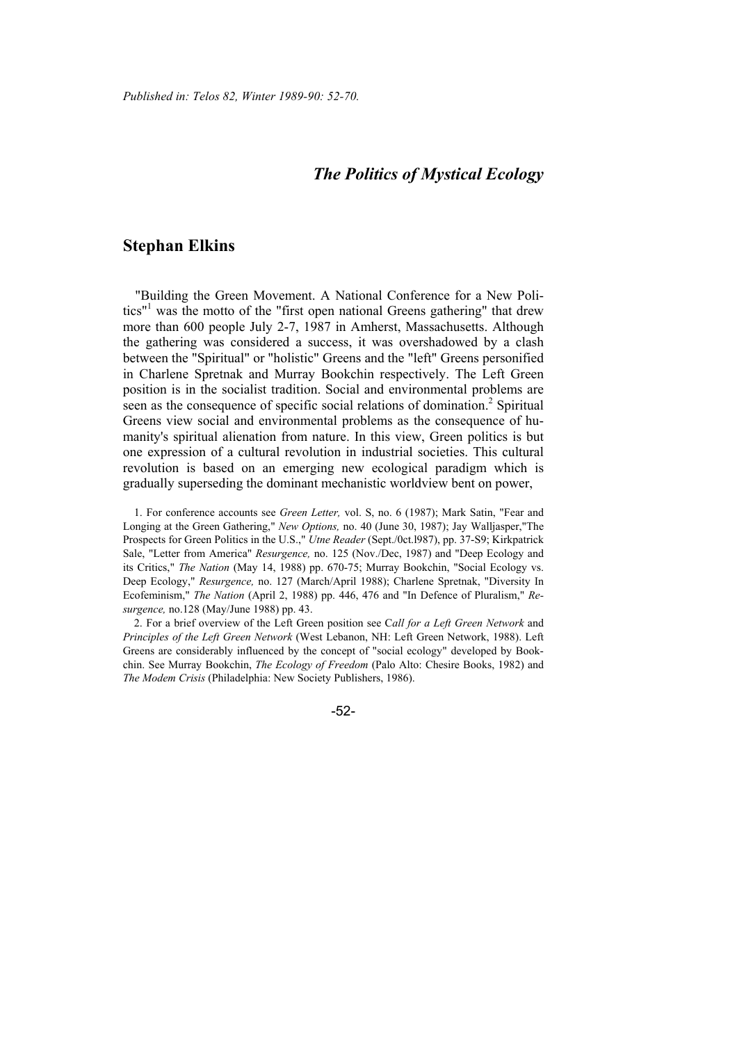# *The Politics of Mystical Ecology*

# **Stephan Elkins**

"Building the Green Movement. A National Conference for a New Politics"<sup>1</sup> was the motto of the "first open national Greens gathering" that drew more than 600 people July 2-7, 1987 in Amherst, Massachusetts. Although the gathering was considered a success, it was overshadowed by a clash between the "Spiritual" or "holistic" Greens and the "left" Greens personified in Charlene Spretnak and Murray Bookchin respectively. The Left Green position is in the socialist tradition. Social and environmental problems are seen as the consequence of specific social relations of domination.<sup>2</sup> Spiritual Greens view social and environmental problems as the consequence of humanity's spiritual alienation from nature. In this view, Green politics is but one expression of a cultural revolution in industrial societies. This cultural revolution is based on an emerging new ecological paradigm which is gradually superseding the dominant mechanistic worldview bent on power,

1. For conference accounts see *Green Letter,* vol. S, no. 6 (1987); Mark Satin, "Fear and Longing at the Green Gathering," *New Options,* no. 40 (June 30, 1987); Jay Walljasper,"The Prospects for Green Politics in the U.S.," *Utne Reader* (Sept./0ct.l987), pp. 37-S9; Kirkpatrick Sale, "Letter from America" *Resurgence,* no. 125 (Nov./Dec, 1987) and "Deep Ecology and its Critics," *The Nation* (May 14, 1988) pp. 670-75; Murray Bookchin, "Social Ecology vs. Deep Ecology," *Resurgence,* no. 127 (March/April 1988); Charlene Spretnak, "Diversity In Ecofeminism," *The Nation* (April 2, 1988) pp. 446, 476 and "In Defence of Pluralism," *Resurgence,* no.128 (May/June 1988) pp. 43.

2. For a brief overview of the Left Green position see C*all for a Left Green Network* and *Principles of the Left Green Network* (West Lebanon, NH: Left Green Network, 1988). Left Greens are considerably influenced by the concept of "social ecology" developed by Bookchin. See Murray Bookchin, *The Ecology of Freedom* (Palo Alto: Chesire Books, 1982) and *The Modem Crisis* (Philadelphia: New Society Publishers, 1986).

-52-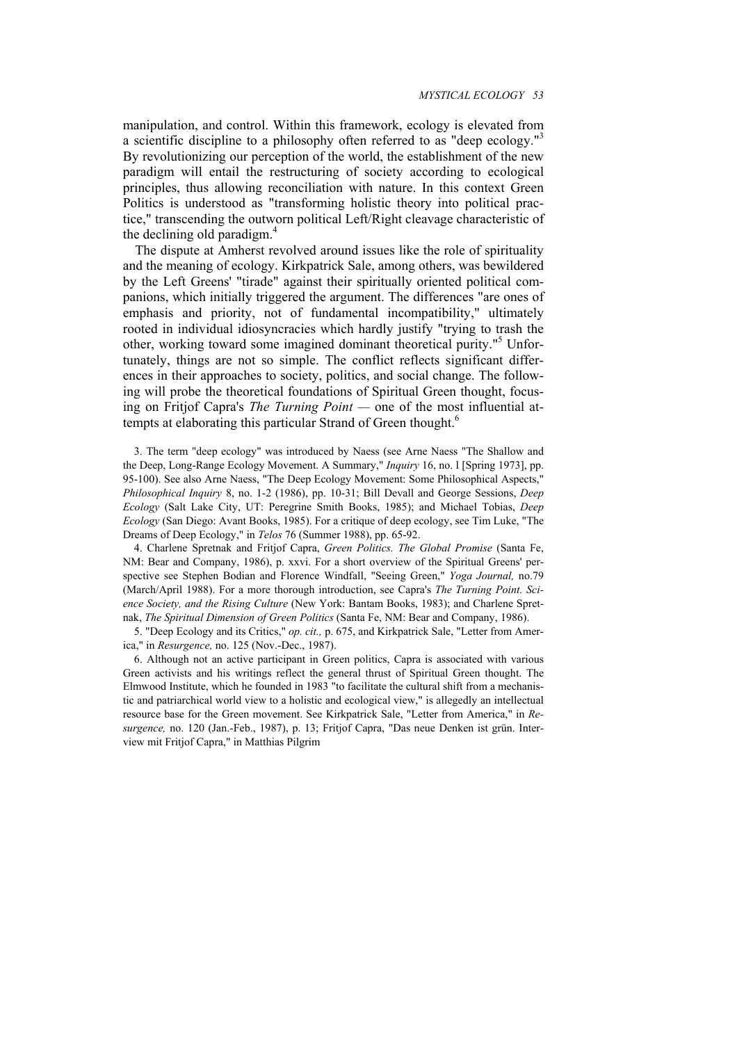manipulation, and control. Within this framework, ecology is elevated from a scientific discipline to a philosophy often referred to as "deep ecology."3 By revolutionizing our perception of the world, the establishment of the new paradigm will entail the restructuring of society according to ecological principles, thus allowing reconciliation with nature. In this context Green Politics is understood as "transforming holistic theory into political practice," transcending the outworn political Left/Right cleavage characteristic of the declining old paradigm.<sup>4</sup>

The dispute at Amherst revolved around issues like the role of spirituality and the meaning of ecology. Kirkpatrick Sale, among others, was bewildered by the Left Greens' "tirade" against their spiritually oriented political companions, which initially triggered the argument. The differences "are ones of emphasis and priority, not of fundamental incompatibility," ultimately rooted in individual idiosyncracies which hardly justify "trying to trash the other, working toward some imagined dominant theoretical purity."<sup>5</sup> Unfortunately, things are not so simple. The conflict reflects significant differences in their approaches to society, politics, and social change. The following will probe the theoretical foundations of Spiritual Green thought, focusing on Fritjof Capra's *The Turning Point —* one of the most influential attempts at elaborating this particular Strand of Green thought.<sup>6</sup>

3. The term "deep ecology" was introduced by Naess (see Arne Naess "The Shallow and the Deep, Long-Range Ecology Movement. A Summary," *Inquiry* 16, no. l [Spring 1973], pp. 95-100). See also Arne Naess, "The Deep Ecology Movement: Some Philosophical Aspects," *Philosophical Inquiry* 8, no. 1-2 (1986), pp. 10-31; Bill Devall and George Sessions, *Deep Ecology* (Salt Lake City, UT: Peregrine Smith Books, 1985); and Michael Tobias, *Deep Ecology* (San Diego: Avant Books, 1985). For a critique of deep ecology, see Tim Luke, "The Dreams of Deep Ecology," in *Telos* 76 (Summer 1988), pp. 65-92.

4. Charlene Spretnak and Fritjof Capra, *Green Politics. The Global Promise* (Santa Fe, NM: Bear and Company, 1986), p. xxvi. For a short overview of the Spiritual Greens' perspective see Stephen Bodian and Florence Windfall, "Seeing Green," *Yoga Journal,* no.79 (March/April 1988). For a more thorough introduction, see Capra's *The Turning Point. Science Society, and the Rising Culture* (New York: Bantam Books, 1983); and Charlene Spretnak, *The Spiritual Dimension of Green Politics* (Santa Fe, NM: Bear and Company, 1986).

5. "Deep Ecology and its Critics," *op. cit.,* p. 675, and Kirkpatrick Sale, "Letter from America," in *Resurgence,* no. 125 (Nov.-Dec., 1987).

6. Although not an active participant in Green politics, Capra is associated with various Green activists and his writings reflect the general thrust of Spiritual Green thought. The Elmwood Institute, which he founded in 1983 "to facilitate the cultural shift from a mechanistic and patriarchical world view to a holistic and ecological view," is allegedly an intellectual resource base for the Green movement. See Kirkpatrick Sale, "Letter from America," in *Resurgence,* no. 120 (Jan.-Feb., 1987), p. 13; Fritjof Capra, "Das neue Denken ist grün. Interview mit Fritjof Capra," in Matthias Pilgrim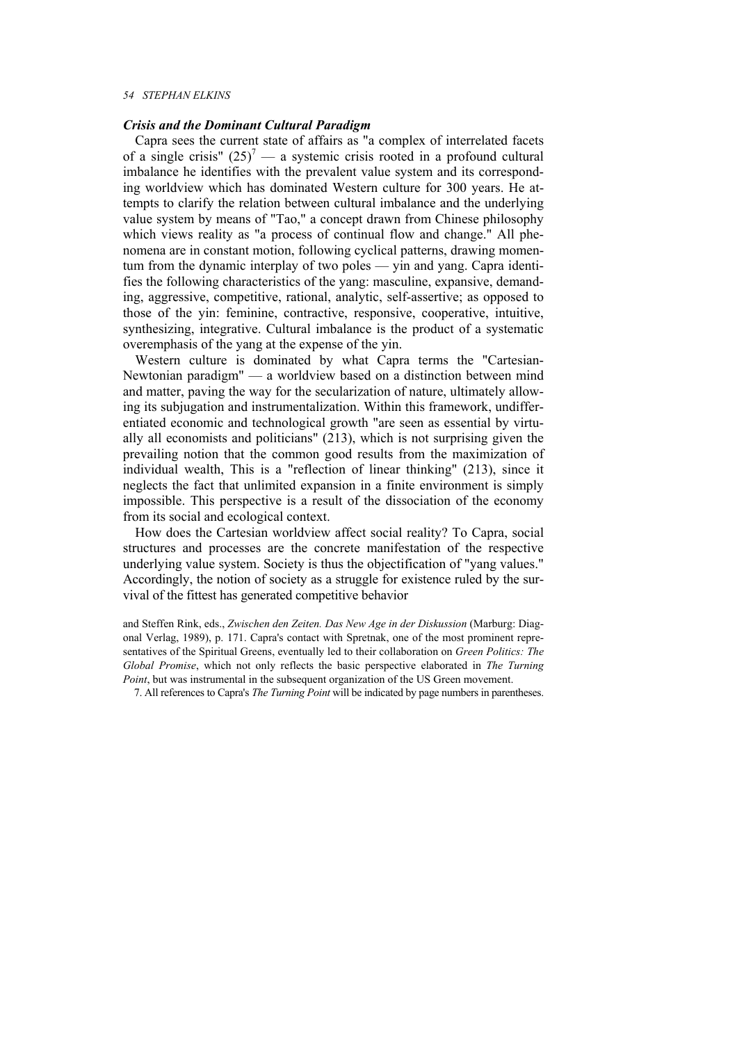# *Crisis and the Dominant Cultural Paradigm*

Capra sees the current state of affairs as "a complex of interrelated facets of a single crisis"  $(25)^7$  — a systemic crisis rooted in a profound cultural imbalance he identifies with the prevalent value system and its corresponding worldview which has dominated Western culture for 300 years. He attempts to clarify the relation between cultural imbalance and the underlying value system by means of "Tao," a concept drawn from Chinese philosophy which views reality as "a process of continual flow and change." All phenomena are in constant motion, following cyclical patterns, drawing momentum from the dynamic interplay of two poles — yin and yang. Capra identifies the following characteristics of the yang: masculine, expansive, demanding, aggressive, competitive, rational, analytic, self-assertive; as opposed to those of the yin: feminine, contractive, responsive, cooperative, intuitive, synthesizing, integrative. Cultural imbalance is the product of a systematic overemphasis of the yang at the expense of the yin.

Western culture is dominated by what Capra terms the "Cartesian-Newtonian paradigm" — a worldview based on a distinction between mind and matter, paving the way for the secularization of nature, ultimately allowing its subjugation and instrumentalization. Within this framework, undifferentiated economic and technological growth "are seen as essential by virtually all economists and politicians" (213), which is not surprising given the prevailing notion that the common good results from the maximization of individual wealth, This is a "reflection of linear thinking" (213), since it neglects the fact that unlimited expansion in a finite environment is simply impossible. This perspective is a result of the dissociation of the economy from its social and ecological context.

How does the Cartesian worldview affect social reality? To Capra, social structures and processes are the concrete manifestation of the respective underlying value system. Society is thus the objectification of "yang values." Accordingly, the notion of society as a struggle for existence ruled by the survival of the fittest has generated competitive behavior

and Steffen Rink, eds., *Zwischen den Zeiten. Das New Age in der Diskussion* (Marburg: Diagonal Verlag, 1989), p. 171. Capra's contact with Spretnak, one of the most prominent representatives of the Spiritual Greens, eventually led to their collaboration on *Green Politics: The Global Promise*, which not only reflects the basic perspective elaborated in *The Turning Point*, but was instrumental in the subsequent organization of the US Green movement.

7. All references to Capra's *The Turning Point* will be indicated by page numbers in parentheses.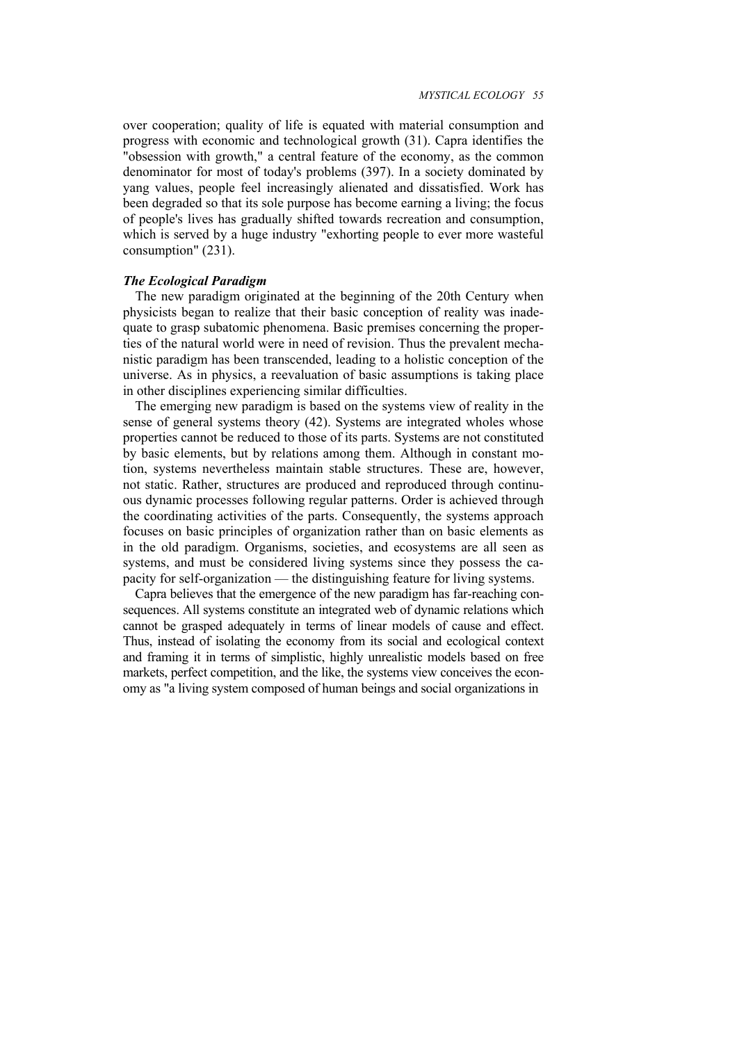over cooperation; quality of life is equated with material consumption and progress with economic and technological growth (31). Capra identifies the "obsession with growth," a central feature of the economy, as the common denominator for most of today's problems (397). In a society dominated by yang values, people feel increasingly alienated and dissatisfied. Work has been degraded so that its sole purpose has become earning a living; the focus of people's lives has gradually shifted towards recreation and consumption, which is served by a huge industry "exhorting people to ever more wasteful consumption" (231).

# *The Ecological Paradigm*

The new paradigm originated at the beginning of the 20th Century when physicists began to realize that their basic conception of reality was inadequate to grasp subatomic phenomena. Basic premises concerning the properties of the natural world were in need of revision. Thus the prevalent mechanistic paradigm has been transcended, leading to a holistic conception of the universe. As in physics, a reevaluation of basic assumptions is taking place in other disciplines experiencing similar difficulties.

The emerging new paradigm is based on the systems view of reality in the sense of general systems theory (42). Systems are integrated wholes whose properties cannot be reduced to those of its parts. Systems are not constituted by basic elements, but by relations among them. Although in constant motion, systems nevertheless maintain stable structures. These are, however, not static. Rather, structures are produced and reproduced through continuous dynamic processes following regular patterns. Order is achieved through the coordinating activities of the parts. Consequently, the systems approach focuses on basic principles of organization rather than on basic elements as in the old paradigm. Organisms, societies, and ecosystems are all seen as systems, and must be considered living systems since they possess the capacity for self-organization — the distinguishing feature for living systems.

Capra believes that the emergence of the new paradigm has far-reaching consequences. All systems constitute an integrated web of dynamic relations which cannot be grasped adequately in terms of linear models of cause and effect. Thus, instead of isolating the economy from its social and ecological context and framing it in terms of simplistic, highly unrealistic models based on free markets, perfect competition, and the like, the systems view conceives the economy as "a living system composed of human beings and social organizations in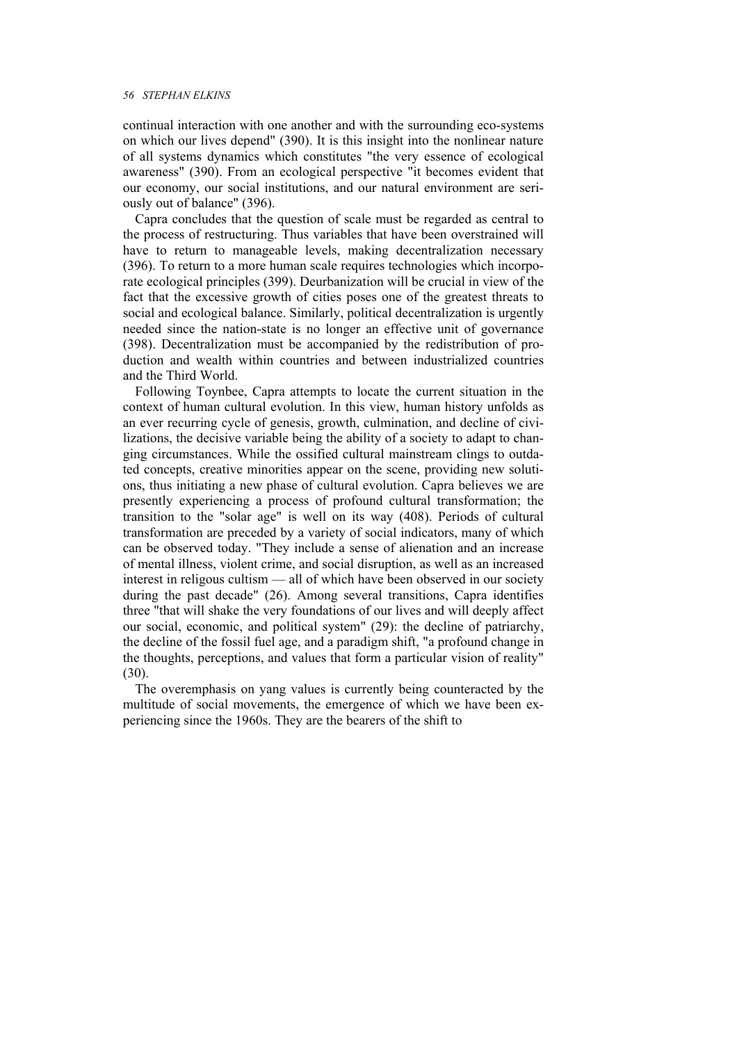continual interaction with one another and with the surrounding eco-systems on which our lives depend" (390). It is this insight into the nonlinear nature of all systems dynamics which constitutes "the very essence of ecological awareness" (390). From an ecological perspective "it becomes evident that our economy, our social institutions, and our natural environment are seriously out of balance" (396).

Capra concludes that the question of scale must be regarded as central to the process of restructuring. Thus variables that have been overstrained will have to return to manageable levels, making decentralization necessary (396). To return to a more human scale requires technologies which incorporate ecological principles (399). Deurbanization will be crucial in view of the fact that the excessive growth of cities poses one of the greatest threats to social and ecological balance. Similarly, political decentralization is urgently needed since the nation-state is no longer an effective unit of governance (398). Decentralization must be accompanied by the redistribution of production and wealth within countries and between industrialized countries and the Third World.

Following Toynbee, Capra attempts to locate the current situation in the context of human cultural evolution. In this view, human history unfolds as an ever recurring cycle of genesis, growth, culmination, and decline of civilizations, the decisive variable being the ability of a society to adapt to changing circumstances. While the ossified cultural mainstream clings to outdated concepts, creative minorities appear on the scene, providing new solutions, thus initiating a new phase of cultural evolution. Capra believes we are presently experiencing a process of profound cultural transformation; the transition to the "solar age" is well on its way (408). Periods of cultural transformation are preceded by a variety of social indicators, many of which can be observed today. "They include a sense of alienation and an increase of mental illness, violent crime, and social disruption, as well as an increased interest in religous cultism — all of which have been observed in our society during the past decade" (26). Among several transitions, Capra identifies three "that will shake the very foundations of our lives and will deeply affect our social, economic, and political system" (29): the decline of patriarchy, the decline of the fossil fuel age, and a paradigm shift, "a profound change in the thoughts, perceptions, and values that form a particular vision of reality" (30).

The overemphasis on yang values is currently being counteracted by the multitude of social movements, the emergence of which we have been experiencing since the 1960s. They are the bearers of the shift to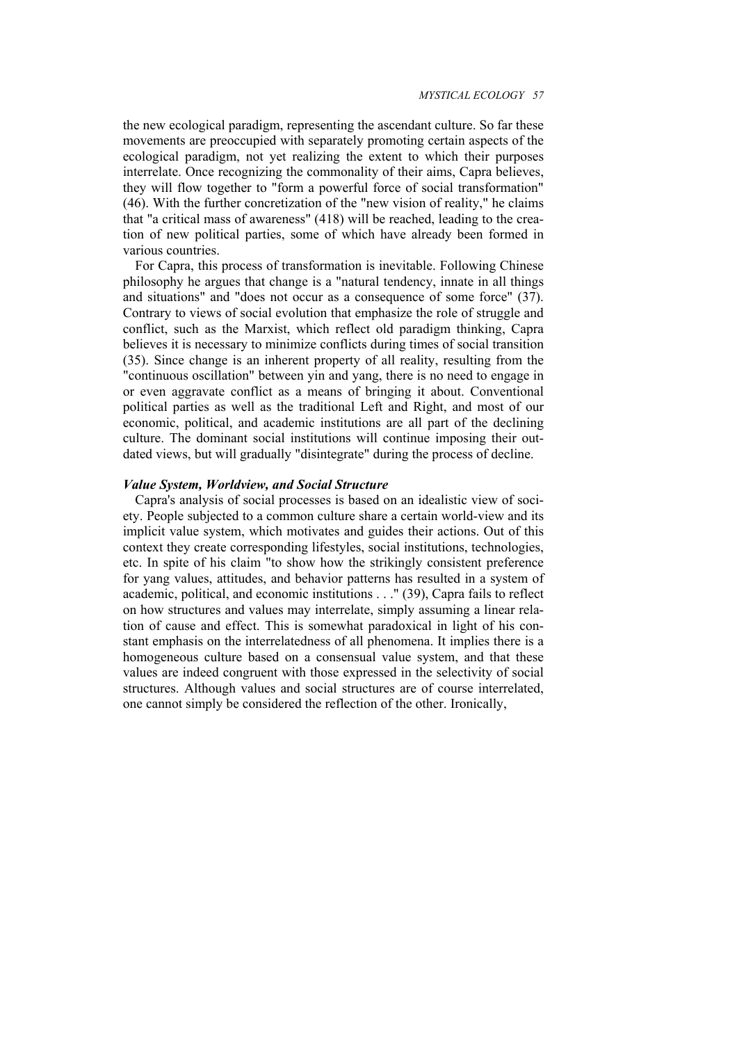the new ecological paradigm, representing the ascendant culture. So far these movements are preoccupied with separately promoting certain aspects of the ecological paradigm, not yet realizing the extent to which their purposes interrelate. Once recognizing the commonality of their aims, Capra believes, they will flow together to "form a powerful force of social transformation" (46). With the further concretization of the "new vision of reality," he claims that "a critical mass of awareness" (418) will be reached, leading to the creation of new political parties, some of which have already been formed in various countries.

For Capra, this process of transformation is inevitable. Following Chinese philosophy he argues that change is a "natural tendency, innate in all things and situations" and "does not occur as a consequence of some force" (37). Contrary to views of social evolution that emphasize the role of struggle and conflict, such as the Marxist, which reflect old paradigm thinking, Capra believes it is necessary to minimize conflicts during times of social transition (35). Since change is an inherent property of all reality, resulting from the "continuous oscillation" between yin and yang, there is no need to engage in or even aggravate conflict as a means of bringing it about. Conventional political parties as well as the traditional Left and Right, and most of our economic, political, and academic institutions are all part of the declining culture. The dominant social institutions will continue imposing their outdated views, but will gradually "disintegrate" during the process of decline.

# *Value System, Worldview, and Social Structure*

Capra's analysis of social processes is based on an idealistic view of society. People subjected to a common culture share a certain world-view and its implicit value system, which motivates and guides their actions. Out of this context they create corresponding lifestyles, social institutions, technologies, etc. In spite of his claim "to show how the strikingly consistent preference for yang values, attitudes, and behavior patterns has resulted in a system of academic, political, and economic institutions . . ." (39), Capra fails to reflect on how structures and values may interrelate, simply assuming a linear relation of cause and effect. This is somewhat paradoxical in light of his constant emphasis on the interrelatedness of all phenomena. It implies there is a homogeneous culture based on a consensual value system, and that these values are indeed congruent with those expressed in the selectivity of social structures. Although values and social structures are of course interrelated, one cannot simply be considered the reflection of the other. Ironically,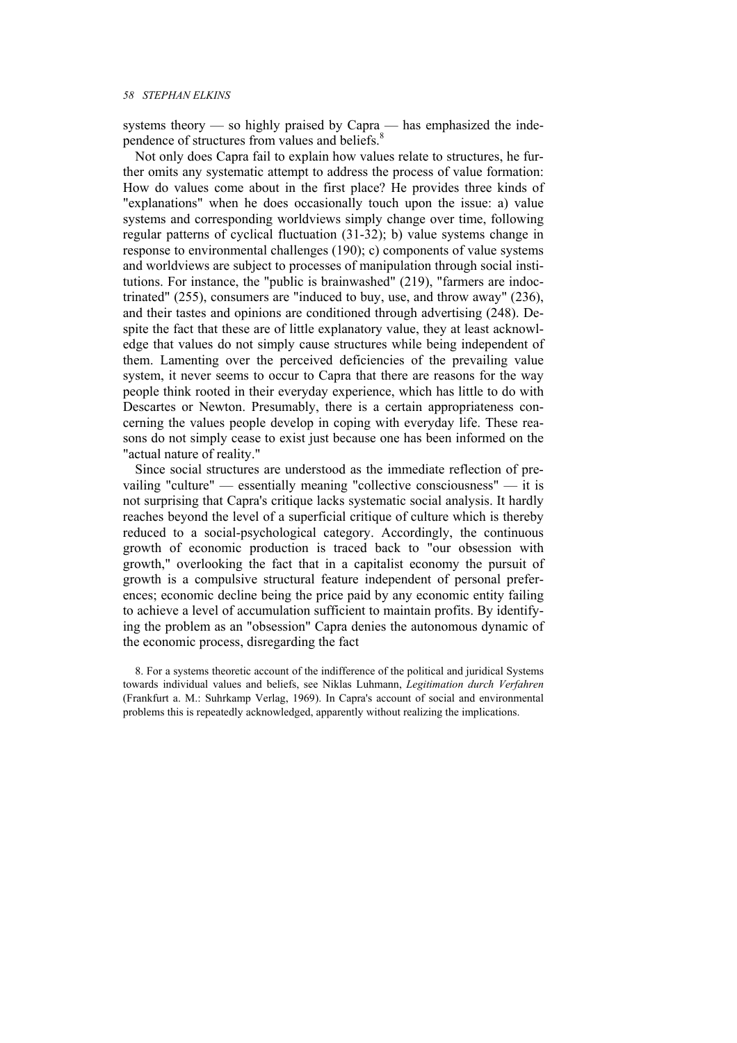systems theory  $\sim$  so highly praised by Capra  $\sim$  has emphasized the independence of structures from values and beliefs.<sup>8</sup>

Not only does Capra fail to explain how values relate to structures, he further omits any systematic attempt to address the process of value formation: How do values come about in the first place? He provides three kinds of "explanations" when he does occasionally touch upon the issue: a) value systems and corresponding worldviews simply change over time, following regular patterns of cyclical fluctuation (31-32); b) value systems change in response to environmental challenges (190); c) components of value systems and worldviews are subject to processes of manipulation through social institutions. For instance, the "public is brainwashed" (219), "farmers are indoctrinated" (255), consumers are "induced to buy, use, and throw away" (236), and their tastes and opinions are conditioned through advertising (248). Despite the fact that these are of little explanatory value, they at least acknowledge that values do not simply cause structures while being independent of them. Lamenting over the perceived deficiencies of the prevailing value system, it never seems to occur to Capra that there are reasons for the way people think rooted in their everyday experience, which has little to do with Descartes or Newton. Presumably, there is a certain appropriateness concerning the values people develop in coping with everyday life. These reasons do not simply cease to exist just because one has been informed on the "actual nature of reality."

Since social structures are understood as the immediate reflection of prevailing "culture" — essentially meaning "collective consciousness" — it is not surprising that Capra's critique lacks systematic social analysis. It hardly reaches beyond the level of a superficial critique of culture which is thereby reduced to a social-psychological category. Accordingly, the continuous growth of economic production is traced back to "our obsession with growth," overlooking the fact that in a capitalist economy the pursuit of growth is a compulsive structural feature independent of personal preferences; economic decline being the price paid by any economic entity failing to achieve a level of accumulation sufficient to maintain profits. By identifying the problem as an "obsession" Capra denies the autonomous dynamic of the economic process, disregarding the fact

8. For a systems theoretic account of the indifference of the political and juridical Systems towards individual values and beliefs, see Niklas Luhmann, *Legitimation durch Verfahren* (Frankfurt a. M.: Suhrkamp Verlag, 1969). In Capra's account of social and environmental problems this is repeatedly acknowledged, apparently without realizing the implications.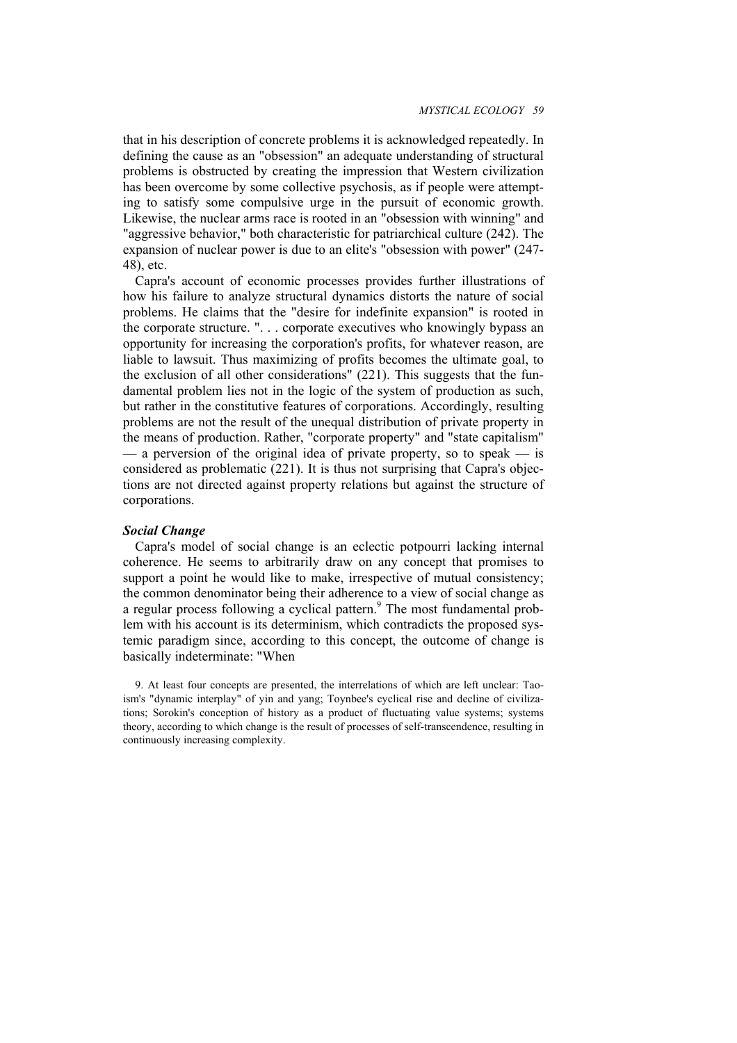that in his description of concrete problems it is acknowledged repeatedly. In defining the cause as an "obsession" an adequate understanding of structural problems is obstructed by creating the impression that Western civilization has been overcome by some collective psychosis, as if people were attempting to satisfy some compulsive urge in the pursuit of economic growth. Likewise, the nuclear arms race is rooted in an "obsession with winning" and "aggressive behavior," both characteristic for patriarchical culture (242). The expansion of nuclear power is due to an elite's "obsession with power" (247- 48), etc.

Capra's account of economic processes provides further illustrations of how his failure to analyze structural dynamics distorts the nature of social problems. He claims that the "desire for indefinite expansion" is rooted in the corporate structure. ". . . corporate executives who knowingly bypass an opportunity for increasing the corporation's profits, for whatever reason, are liable to lawsuit. Thus maximizing of profits becomes the ultimate goal, to the exclusion of all other considerations" (221). This suggests that the fundamental problem lies not in the logic of the system of production as such, but rather in the constitutive features of corporations. Accordingly, resulting problems are not the result of the unequal distribution of private property in the means of production. Rather, "corporate property" and "state capitalism" — a perversion of the original idea of private property, so to speak — is considered as problematic (221). It is thus not surprising that Capra's objections are not directed against property relations but against the structure of corporations.

## *Social Change*

Capra's model of social change is an eclectic potpourri lacking internal coherence. He seems to arbitrarily draw on any concept that promises to support a point he would like to make, irrespective of mutual consistency; the common denominator being their adherence to a view of social change as a regular process following a cyclical pattern.<sup>9</sup> The most fundamental problem with his account is its determinism, which contradicts the proposed systemic paradigm since, according to this concept, the outcome of change is basically indeterminate: "When

9. At least four concepts are presented, the interrelations of which are left unclear: Taoism's "dynamic interplay" of yin and yang; Toynbee's cyclical rise and decline of civilizations; Sorokin's conception of history as a product of fluctuating value systems; systems theory, according to which change is the result of processes of self-transcendence, resulting in continuously increasing complexity.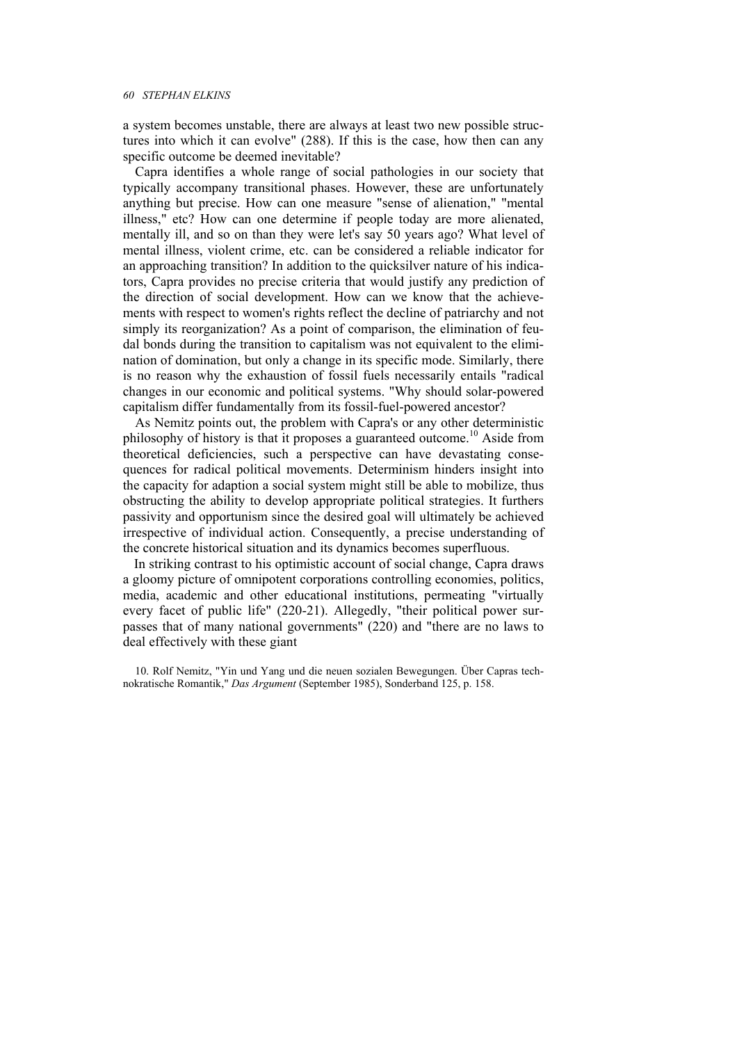a system becomes unstable, there are always at least two new possible structures into which it can evolve" (288). If this is the case, how then can any specific outcome be deemed inevitable?

Capra identifies a whole range of social pathologies in our society that typically accompany transitional phases. However, these are unfortunately anything but precise. How can one measure "sense of alienation," "mental illness," etc? How can one determine if people today are more alienated, mentally ill, and so on than they were let's say 50 years ago? What level of mental illness, violent crime, etc. can be considered a reliable indicator for an approaching transition? In addition to the quicksilver nature of his indicators, Capra provides no precise criteria that would justify any prediction of the direction of social development. How can we know that the achievements with respect to women's rights reflect the decline of patriarchy and not simply its reorganization? As a point of comparison, the elimination of feudal bonds during the transition to capitalism was not equivalent to the elimination of domination, but only a change in its specific mode. Similarly, there is no reason why the exhaustion of fossil fuels necessarily entails "radical changes in our economic and political systems. "Why should solar-powered capitalism differ fundamentally from its fossil-fuel-powered ancestor?

As Nemitz points out, the problem with Capra's or any other deterministic philosophy of history is that it proposes a guaranteed outcome.<sup>10</sup> Aside from theoretical deficiencies, such a perspective can have devastating consequences for radical political movements. Determinism hinders insight into the capacity for adaption a social system might still be able to mobilize, thus obstructing the ability to develop appropriate political strategies. It furthers passivity and opportunism since the desired goal will ultimately be achieved irrespective of individual action. Consequently, a precise understanding of the concrete historical situation and its dynamics becomes superfluous.

In striking contrast to his optimistic account of social change, Capra draws a gloomy picture of omnipotent corporations controlling economies, politics, media, academic and other educational institutions, permeating "virtually every facet of public life" (220-21). Allegedly, "their political power surpasses that of many national governments" (220) and "there are no laws to deal effectively with these giant

10. Rolf Nemitz, "Yin und Yang und die neuen sozialen Bewegungen. Über Capras technokratische Romantik," *Das Argument* (September 1985), Sonderband 125, p. 158.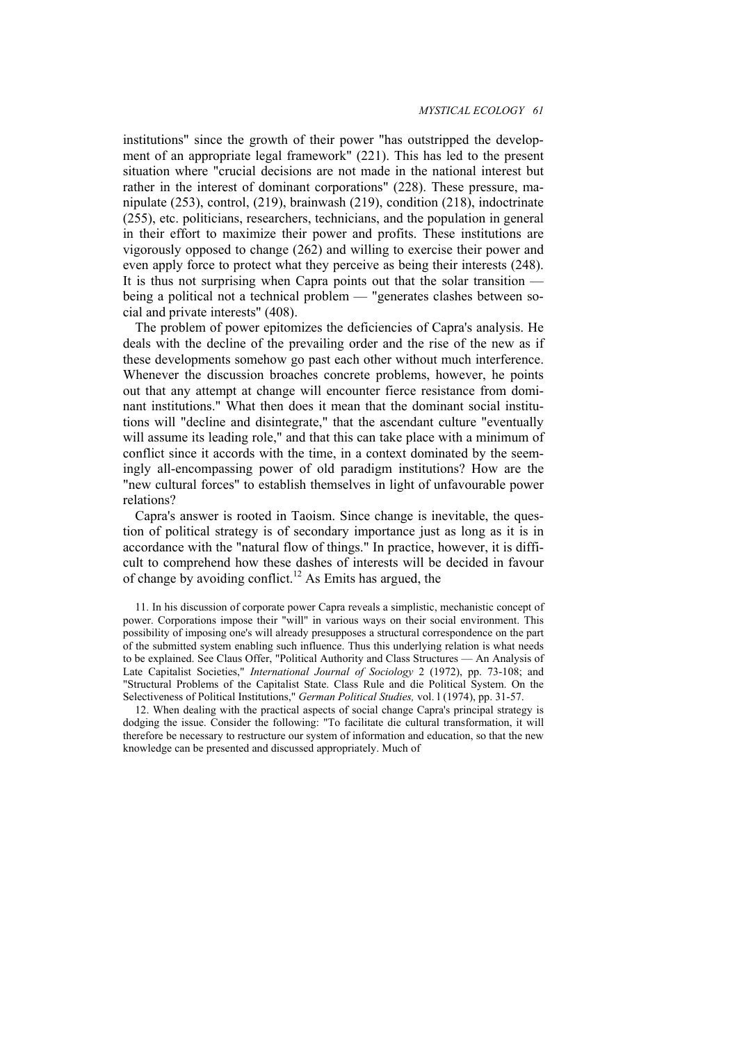institutions" since the growth of their power "has outstripped the development of an appropriate legal framework" (221). This has led to the present situation where "crucial decisions are not made in the national interest but rather in the interest of dominant corporations" (228). These pressure, manipulate (253), control, (219), brainwash (219), condition (218), indoctrinate (255), etc. politicians, researchers, technicians, and the population in general in their effort to maximize their power and profits. These institutions are vigorously opposed to change (262) and willing to exercise their power and even apply force to protect what they perceive as being their interests (248). It is thus not surprising when Capra points out that the solar transition being a political not a technical problem — "generates clashes between social and private interests" (408).

The problem of power epitomizes the deficiencies of Capra's analysis. He deals with the decline of the prevailing order and the rise of the new as if these developments somehow go past each other without much interference. Whenever the discussion broaches concrete problems, however, he points out that any attempt at change will encounter fierce resistance from dominant institutions." What then does it mean that the dominant social institutions will "decline and disintegrate," that the ascendant culture "eventually will assume its leading role," and that this can take place with a minimum of conflict since it accords with the time, in a context dominated by the seemingly all-encompassing power of old paradigm institutions? How are the "new cultural forces" to establish themselves in light of unfavourable power relations?

Capra's answer is rooted in Taoism. Since change is inevitable, the question of political strategy is of secondary importance just as long as it is in accordance with the "natural flow of things." In practice, however, it is difficult to comprehend how these dashes of interests will be decided in favour of change by avoiding conflict.<sup>12</sup> As Emits has argued, the

11. In his discussion of corporate power Capra reveals a simplistic, mechanistic concept of power. Corporations impose their "will" in various ways on their social environment. This possibility of imposing one's will already presupposes a structural correspondence on the part of the submitted system enabling such influence. Thus this underlying relation is what needs to be explained. See Claus Offer, "Political Authority and Class Structures — An Analysis of Late Capitalist Societies," *International Journal of Sociology* 2 (1972), pp. 73-108; and "Structural Problems of the Capitalist State. Class Rule and die Political System. On the Selectiveness of Political Institutions," *German Political Studies,* vol. l (1974), pp. 31-57.

12. When dealing with the practical aspects of social change Capra's principal strategy is dodging the issue. Consider the following: "To facilitate die cultural transformation, it will therefore be necessary to restructure our system of information and education, so that the new knowledge can be presented and discussed appropriately. Much of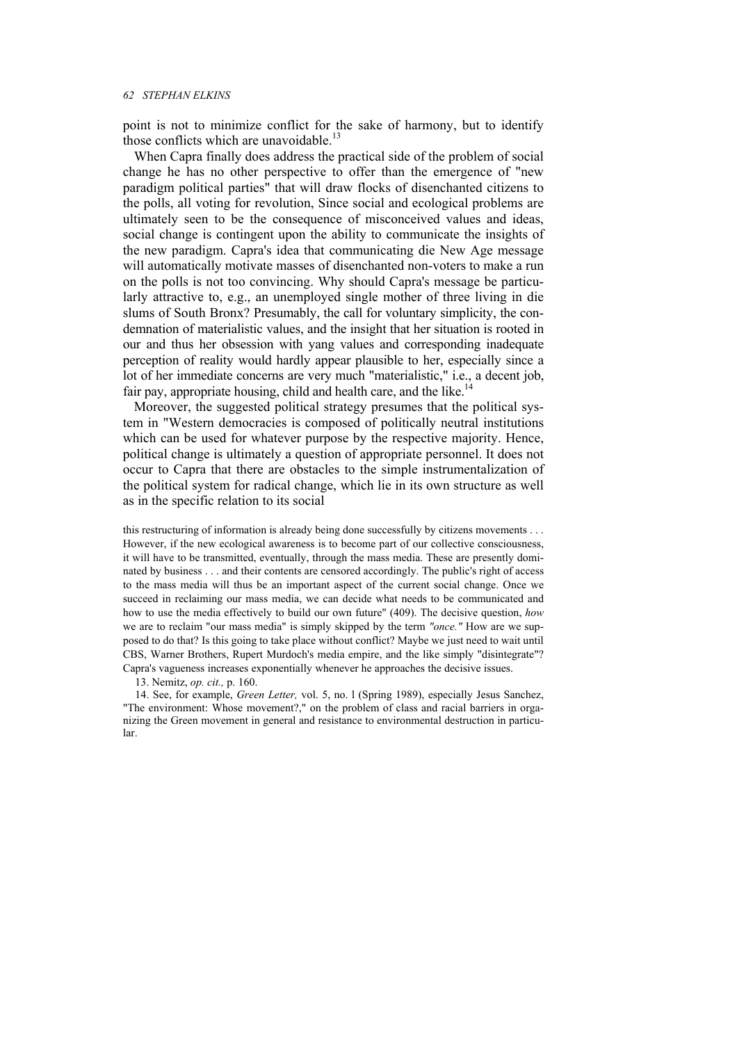point is not to minimize conflict for the sake of harmony, but to identify those conflicts which are unavoidable.<sup>13</sup>

When Capra finally does address the practical side of the problem of social change he has no other perspective to offer than the emergence of "new paradigm political parties" that will draw flocks of disenchanted citizens to the polls, all voting for revolution, Since social and ecological problems are ultimately seen to be the consequence of misconceived values and ideas, social change is contingent upon the ability to communicate the insights of the new paradigm. Capra's idea that communicating die New Age message will automatically motivate masses of disenchanted non-voters to make a run on the polls is not too convincing. Why should Capra's message be particularly attractive to, e.g., an unemployed single mother of three living in die slums of South Bronx? Presumably, the call for voluntary simplicity, the condemnation of materialistic values, and the insight that her situation is rooted in our and thus her obsession with yang values and corresponding inadequate perception of reality would hardly appear plausible to her, especially since a lot of her immediate concerns are very much "materialistic," i.e., a decent job, fair pay, appropriate housing, child and health care, and the like.<sup>1</sup>

Moreover, the suggested political strategy presumes that the political system in "Western democracies is composed of politically neutral institutions which can be used for whatever purpose by the respective majority. Hence, political change is ultimately a question of appropriate personnel. It does not occur to Capra that there are obstacles to the simple instrumentalization of the political system for radical change, which lie in its own structure as well as in the specific relation to its social

this restructuring of information is already being done successfully by citizens movements . . . However, if the new ecological awareness is to become part of our collective consciousness, it will have to be transmitted, eventually, through the mass media. These are presently dominated by business . . . and their contents are censored accordingly. The public's right of access to the mass media will thus be an important aspect of the current social change. Once we succeed in reclaiming our mass media, we can decide what needs to be communicated and how to use the media effectively to build our own future" (409). The decisive question, *how* we are to reclaim "our mass media" is simply skipped by the term *"once."* How are we supposed to do that? Is this going to take place without conflict? Maybe we just need to wait until CBS, Warner Brothers, Rupert Murdoch's media empire, and the like simply "disintegrate"? Capra's vagueness increases exponentially whenever he approaches the decisive issues.

#### 13. Nemitz, *op. cit.,* p. 160.

14. See, for example, *Green Letter,* vol. 5, no. l (Spring 1989), especially Jesus Sanchez, "The environment: Whose movement?," on the problem of class and racial barriers in organizing the Green movement in general and resistance to environmental destruction in particular.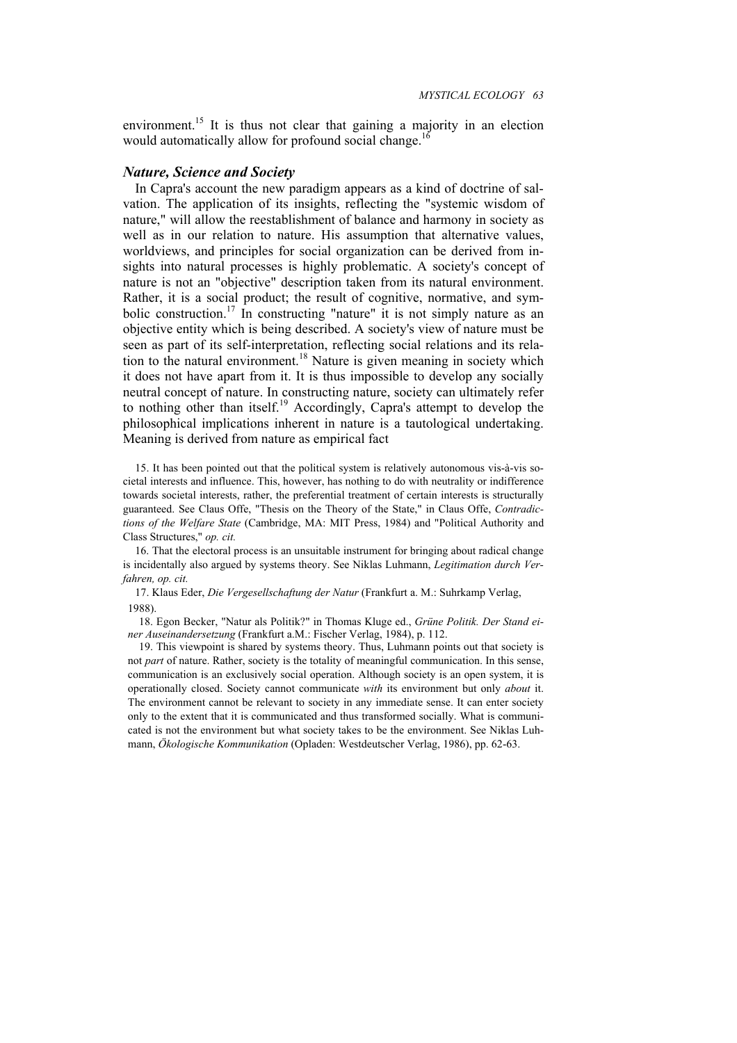environment.<sup>15</sup> It is thus not clear that gaining a majority in an election would automatically allow for profound social change.<sup>16</sup>

# *Nature, Science and Society*

In Capra's account the new paradigm appears as a kind of doctrine of salvation. The application of its insights, reflecting the "systemic wisdom of nature," will allow the reestablishment of balance and harmony in society as well as in our relation to nature. His assumption that alternative values, worldviews, and principles for social organization can be derived from insights into natural processes is highly problematic. A society's concept of nature is not an "objective" description taken from its natural environment. Rather, it is a social product; the result of cognitive, normative, and symbolic construction.<sup>17</sup> In constructing "nature" it is not simply nature as an objective entity which is being described. A society's view of nature must be seen as part of its self-interpretation, reflecting social relations and its relation to the natural environment.<sup>18</sup> Nature is given meaning in society which it does not have apart from it. It is thus impossible to develop any socially neutral concept of nature. In constructing nature, society can ultimately refer to nothing other than itself.<sup>19</sup> Accordingly, Capra's attempt to develop the philosophical implications inherent in nature is a tautological undertaking. Meaning is derived from nature as empirical fact

15. It has been pointed out that the political system is relatively autonomous vis-à-vis societal interests and influence. This, however, has nothing to do with neutrality or indifference towards societal interests, rather, the preferential treatment of certain interests is structurally guaranteed. See Claus Offe, "Thesis on the Theory of the State," in Claus Offe, *Contradictions of the Welfare State* (Cambridge, MA: MIT Press, 1984) and "Political Authority and Class Structures," *op. cit.*

16. That the electoral process is an unsuitable instrument for bringing about radical change is incidentally also argued by systems theory. See Niklas Luhmann, *Legitimation durch Verfahren, op. cit.*

17. Klaus Eder, *Die Vergesellschaftung der Natur* (Frankfurt a. M.: Suhrkamp Verlag, 1988).

18. Egon Becker, "Natur als Politik?" in Thomas Kluge ed., *Grüne Politik. Der Stand einer Auseinandersetzung* (Frankfurt a.M.: Fischer Verlag, 1984), p. 112.

19. This viewpoint is shared by systems theory. Thus, Luhmann points out that society is not *part* of nature. Rather, society is the totality of meaningful communication. In this sense, communication is an exclusively social operation. Although society is an open system, it is operationally closed. Society cannot communicate *with* its environment but only *about* it. The environment cannot be relevant to society in any immediate sense. It can enter society only to the extent that it is communicated and thus transformed socially. What is communicated is not the environment but what society takes to be the environment. See Niklas Luhmann, *Ökologische Kommunikation* (Opladen: Westdeutscher Verlag, 1986), pp. 62-63.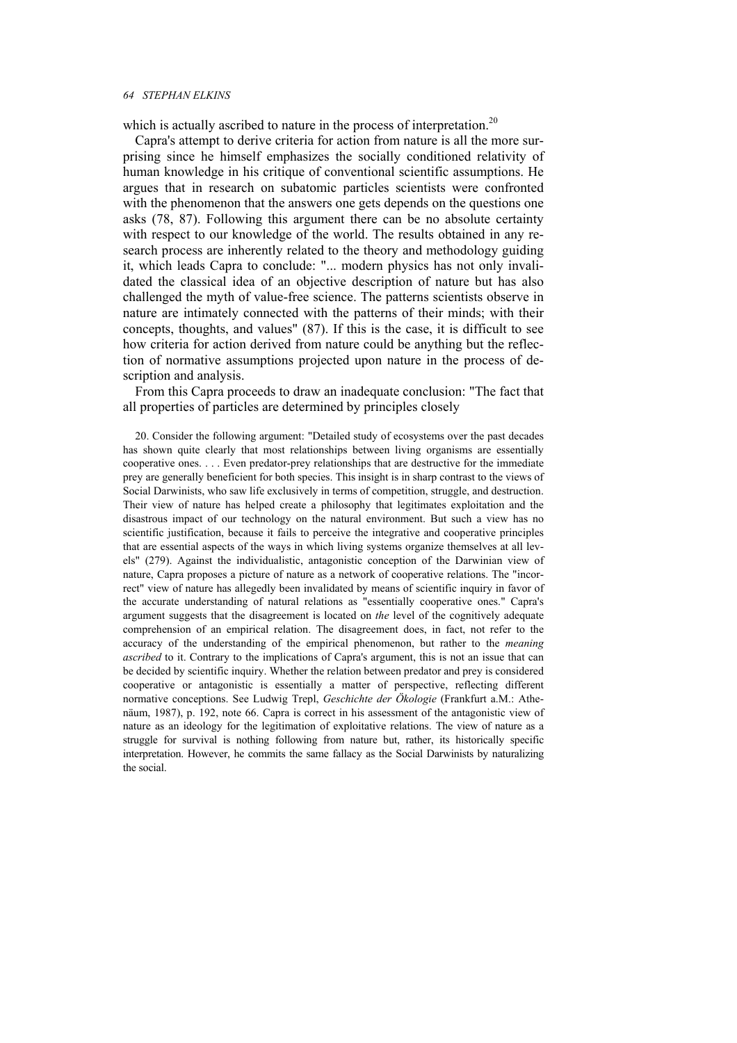which is actually ascribed to nature in the process of interpretation.<sup>20</sup>

Capra's attempt to derive criteria for action from nature is all the more surprising since he himself emphasizes the socially conditioned relativity of human knowledge in his critique of conventional scientific assumptions. He argues that in research on subatomic particles scientists were confronted with the phenomenon that the answers one gets depends on the questions one asks (78, 87). Following this argument there can be no absolute certainty with respect to our knowledge of the world. The results obtained in any research process are inherently related to the theory and methodology guiding it, which leads Capra to conclude: "... modern physics has not only invalidated the classical idea of an objective description of nature but has also challenged the myth of value-free science. The patterns scientists observe in nature are intimately connected with the patterns of their minds; with their concepts, thoughts, and values" (87). If this is the case, it is difficult to see how criteria for action derived from nature could be anything but the reflection of normative assumptions projected upon nature in the process of description and analysis.

From this Capra proceeds to draw an inadequate conclusion: "The fact that all properties of particles are determined by principles closely

20. Consider the following argument: "Detailed study of ecosystems over the past decades has shown quite clearly that most relationships between living organisms are essentially cooperative ones. . . . Even predator-prey relationships that are destructive for the immediate prey are generally beneficient for both species. This insight is in sharp contrast to the views of Social Darwinists, who saw life exclusively in terms of competition, struggle, and destruction. Their view of nature has helped create a philosophy that legitimates exploitation and the disastrous impact of our technology on the natural environment. But such a view has no scientific justification, because it fails to perceive the integrative and cooperative principles that are essential aspects of the ways in which living systems organize themselves at all levels" (279). Against the individualistic, antagonistic conception of the Darwinian view of nature, Capra proposes a picture of nature as a network of cooperative relations. The "incorrect" view of nature has allegedly been invalidated by means of scientific inquiry in favor of the accurate understanding of natural relations as "essentially cooperative ones." Capra's argument suggests that the disagreement is located on *the* level of the cognitively adequate comprehension of an empirical relation. The disagreement does, in fact, not refer to the accuracy of the understanding of the empirical phenomenon, but rather to the *meaning ascribed* to it. Contrary to the implications of Capra's argument, this is not an issue that can be decided by scientific inquiry. Whether the relation between predator and prey is considered cooperative or antagonistic is essentially a matter of perspective, reflecting different normative conceptions. See Ludwig Trepl, *Geschichte der Ökologie* (Frankfurt a.M.: Athenäum, 1987), p. 192, note 66. Capra is correct in his assessment of the antagonistic view of nature as an ideology for the legitimation of exploitative relations. The view of nature as a struggle for survival is nothing following from nature but, rather, its historically specific interpretation. However, he commits the same fallacy as the Social Darwinists by naturalizing the social.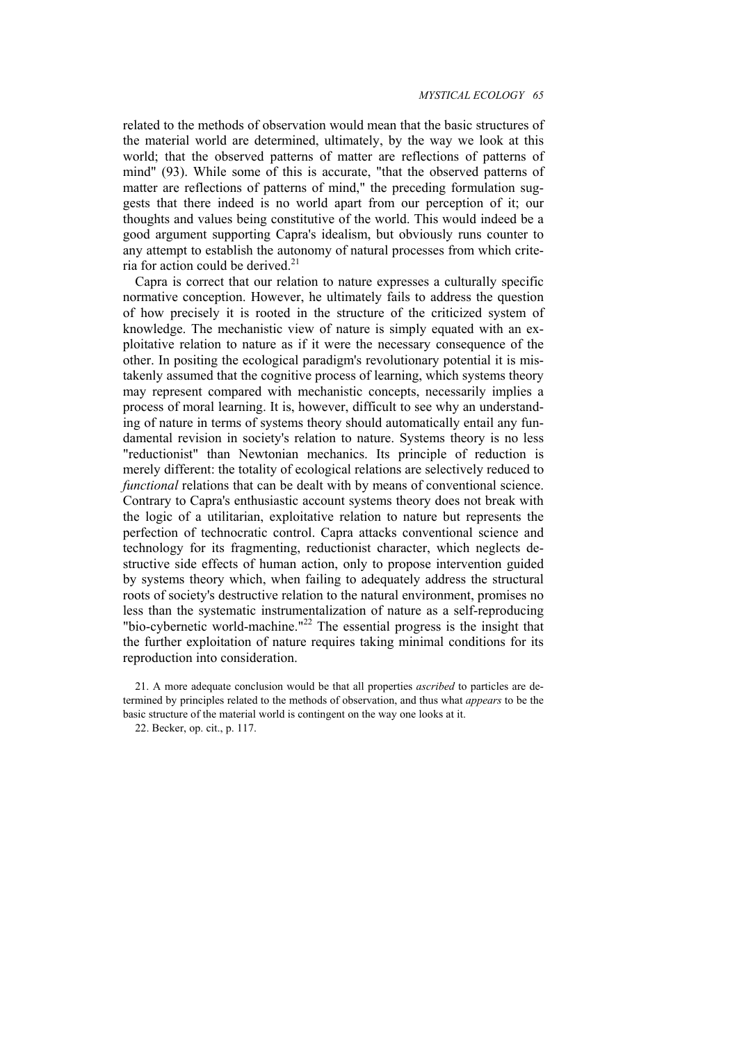related to the methods of observation would mean that the basic structures of the material world are determined, ultimately, by the way we look at this world; that the observed patterns of matter are reflections of patterns of mind" (93). While some of this is accurate, "that the observed patterns of matter are reflections of patterns of mind," the preceding formulation suggests that there indeed is no world apart from our perception of it; our thoughts and values being constitutive of the world. This would indeed be a good argument supporting Capra's idealism, but obviously runs counter to any attempt to establish the autonomy of natural processes from which criteria for action could be derived. $21$ 

Capra is correct that our relation to nature expresses a culturally specific normative conception. However, he ultimately fails to address the question of how precisely it is rooted in the structure of the criticized system of knowledge. The mechanistic view of nature is simply equated with an exploitative relation to nature as if it were the necessary consequence of the other. In positing the ecological paradigm's revolutionary potential it is mistakenly assumed that the cognitive process of learning, which systems theory may represent compared with mechanistic concepts, necessarily implies a process of moral learning. It is, however, difficult to see why an understanding of nature in terms of systems theory should automatically entail any fundamental revision in society's relation to nature. Systems theory is no less "reductionist" than Newtonian mechanics. Its principle of reduction is merely different: the totality of ecological relations are selectively reduced to *functional* relations that can be dealt with by means of conventional science. Contrary to Capra's enthusiastic account systems theory does not break with the logic of a utilitarian, exploitative relation to nature but represents the perfection of technocratic control. Capra attacks conventional science and technology for its fragmenting, reductionist character, which neglects destructive side effects of human action, only to propose intervention guided by systems theory which, when failing to adequately address the structural roots of society's destructive relation to the natural environment, promises no less than the systematic instrumentalization of nature as a self-reproducing "bio-cybernetic world-machine."22 The essential progress is the insight that the further exploitation of nature requires taking minimal conditions for its reproduction into consideration.

21. A more adequate conclusion would be that all properties *ascribed* to particles are determined by principles related to the methods of observation, and thus what *appears* to be the basic structure of the material world is contingent on the way one looks at it.

22. Becker, op. cit., p. 117.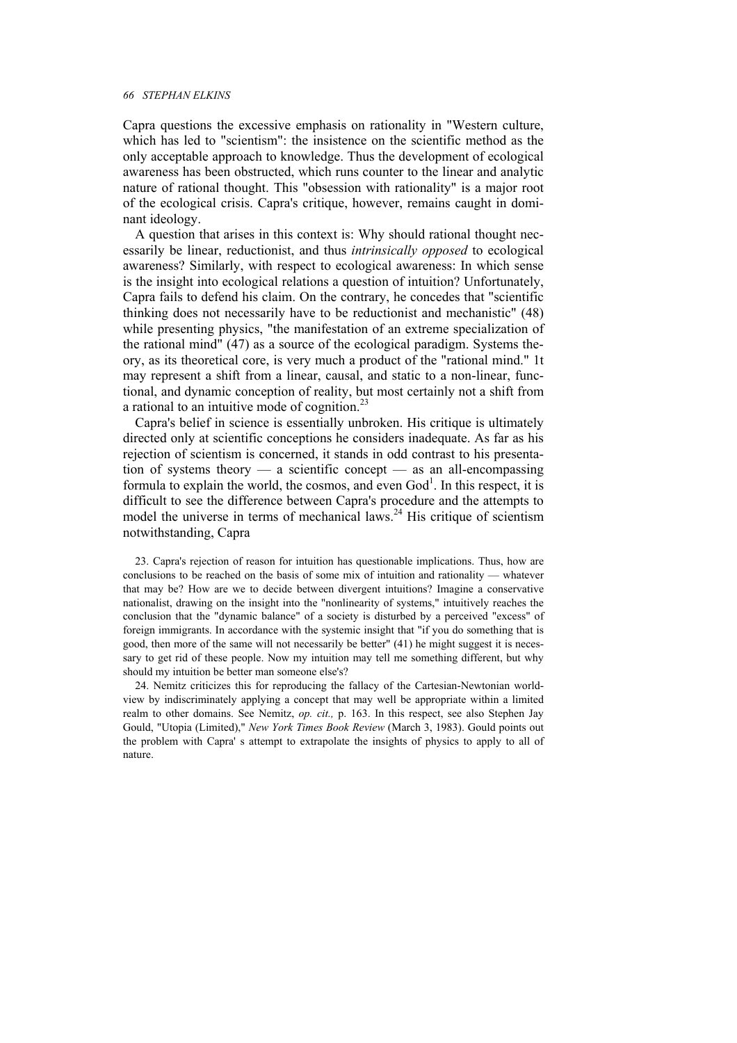Capra questions the excessive emphasis on rationality in "Western culture, which has led to "scientism": the insistence on the scientific method as the only acceptable approach to knowledge. Thus the development of ecological awareness has been obstructed, which runs counter to the linear and analytic nature of rational thought. This "obsession with rationality" is a major root of the ecological crisis. Capra's critique, however, remains caught in dominant ideology.

A question that arises in this context is: Why should rational thought necessarily be linear, reductionist, and thus *intrinsically opposed* to ecological awareness? Similarly, with respect to ecological awareness: In which sense is the insight into ecological relations a question of intuition? Unfortunately, Capra fails to defend his claim. On the contrary, he concedes that "scientific thinking does not necessarily have to be reductionist and mechanistic" (48) while presenting physics, "the manifestation of an extreme specialization of the rational mind" (47) as a source of the ecological paradigm. Systems theory, as its theoretical core, is very much a product of the "rational mind." 1t may represent a shift from a linear, causal, and static to a non-linear, functional, and dynamic conception of reality, but most certainly not a shift from a rational to an intuitive mode of cognition. $^{23}$ 

Capra's belief in science is essentially unbroken. His critique is ultimately directed only at scientific conceptions he considers inadequate. As far as his rejection of scientism is concerned, it stands in odd contrast to his presentation of systems theory  $-$  a scientific concept  $-$  as an all-encompassing formula to explain the world, the cosmos, and even  $God<sup>1</sup>$ . In this respect, it is difficult to see the difference between Capra's procedure and the attempts to model the universe in terms of mechanical laws.<sup>24</sup> His critique of scientism notwithstanding, Capra

23. Capra's rejection of reason for intuition has questionable implications. Thus, how are conclusions to be reached on the basis of some mix of intuition and rationality — whatever that may be? How are we to decide between divergent intuitions? Imagine a conservative nationalist, drawing on the insight into the "nonlinearity of systems," intuitively reaches the conclusion that the "dynamic balance" of a society is disturbed by a perceived "excess" of foreign immigrants. In accordance with the systemic insight that "if you do something that is good, then more of the same will not necessarily be better" (41) he might suggest it is necessary to get rid of these people. Now my intuition may tell me something different, but why should my intuition be better man someone else's?

24. Nemitz criticizes this for reproducing the fallacy of the Cartesian-Newtonian worldview by indiscriminately applying a concept that may well be appropriate within a limited realm to other domains. See Nemitz, *op. cit.,* p. 163. In this respect, see also Stephen Jay Gould, "Utopia (Limited)," *New York Times Book Review* (March 3, 1983). Gould points out the problem with Capra' s attempt to extrapolate the insights of physics to apply to all of nature.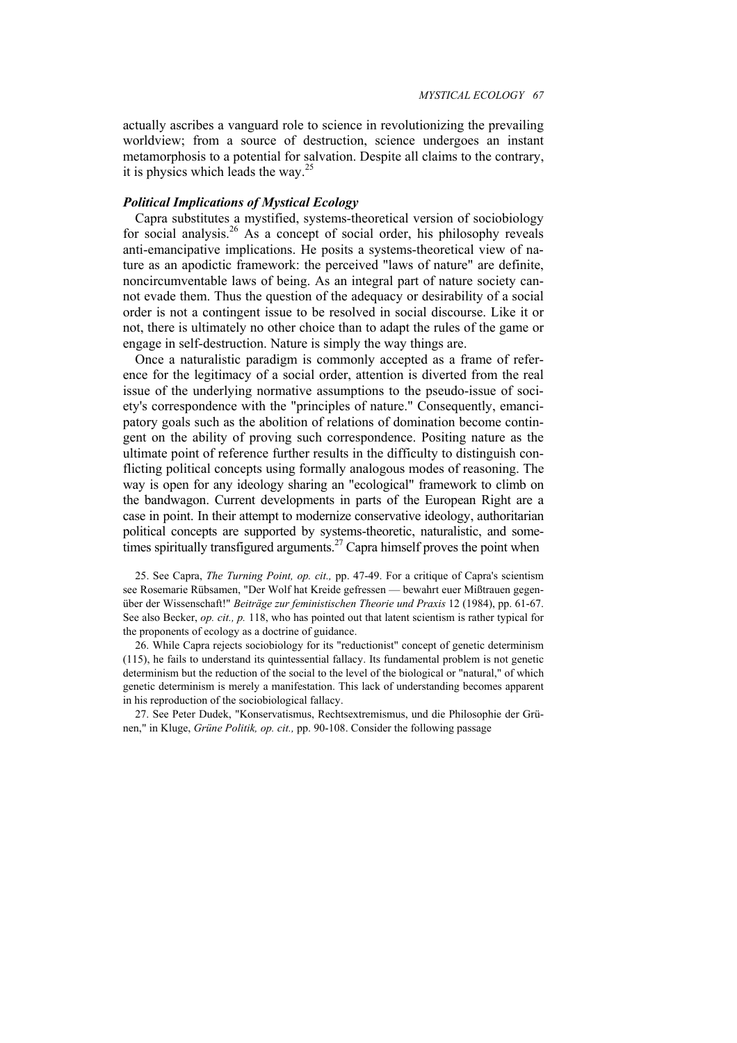actually ascribes a vanguard role to science in revolutionizing the prevailing worldview; from a source of destruction, science undergoes an instant metamorphosis to a potential for salvation. Despite all claims to the contrary, it is physics which leads the way.25

# *Political Implications of Mystical Ecology*

Capra substitutes a mystified, systems-theoretical version of sociobiology for social analysis.<sup>26</sup> As a concept of social order, his philosophy reveals anti-emancipative implications. He posits a systems-theoretical view of nature as an apodictic framework: the perceived "laws of nature" are definite, noncircumventable laws of being. As an integral part of nature society cannot evade them. Thus the question of the adequacy or desirability of a social order is not a contingent issue to be resolved in social discourse. Like it or not, there is ultimately no other choice than to adapt the rules of the game or engage in self-destruction. Nature is simply the way things are.

Once a naturalistic paradigm is commonly accepted as a frame of reference for the legitimacy of a social order, attention is diverted from the real issue of the underlying normative assumptions to the pseudo-issue of society's correspondence with the "principles of nature." Consequently, emancipatory goals such as the abolition of relations of domination become contingent on the ability of proving such correspondence. Positing nature as the ultimate point of reference further results in the difficulty to distinguish conflicting political concepts using formally analogous modes of reasoning. The way is open for any ideology sharing an "ecological" framework to climb on the bandwagon. Current developments in parts of the European Right are a case in point. In their attempt to modernize conservative ideology, authoritarian political concepts are supported by systems-theoretic, naturalistic, and sometimes spiritually transfigured arguments.<sup>27</sup> Capra himself proves the point when

25. See Capra, *The Turning Point, op. cit.,* pp. 47-49. For a critique of Capra's scientism see Rosemarie Rübsamen, "Der Wolf hat Kreide gefressen — bewahrt euer Mißtrauen gegenüber der Wissenschaft!" *Beiträge zur feministischen Theorie und Praxis* 12 (1984), pp. 61-67. See also Becker, *op. cit., p.* 118, who has pointed out that latent scientism is rather typical for the proponents of ecology as a doctrine of guidance.

26. While Capra rejects sociobiology for its "reductionist" concept of genetic determinism (115), he fails to understand its quintessential fallacy. Its fundamental problem is not genetic determinism but the reduction of the social to the level of the biological or "natural," of which genetic determinism is merely a manifestation. This lack of understanding becomes apparent in his reproduction of the sociobiological fallacy.

27. See Peter Dudek, "Konservatismus, Rechtsextremismus, und die Philosophie der Grünen," in Kluge, *Grüne Politik, op. cit.,* pp. 90-108. Consider the following passage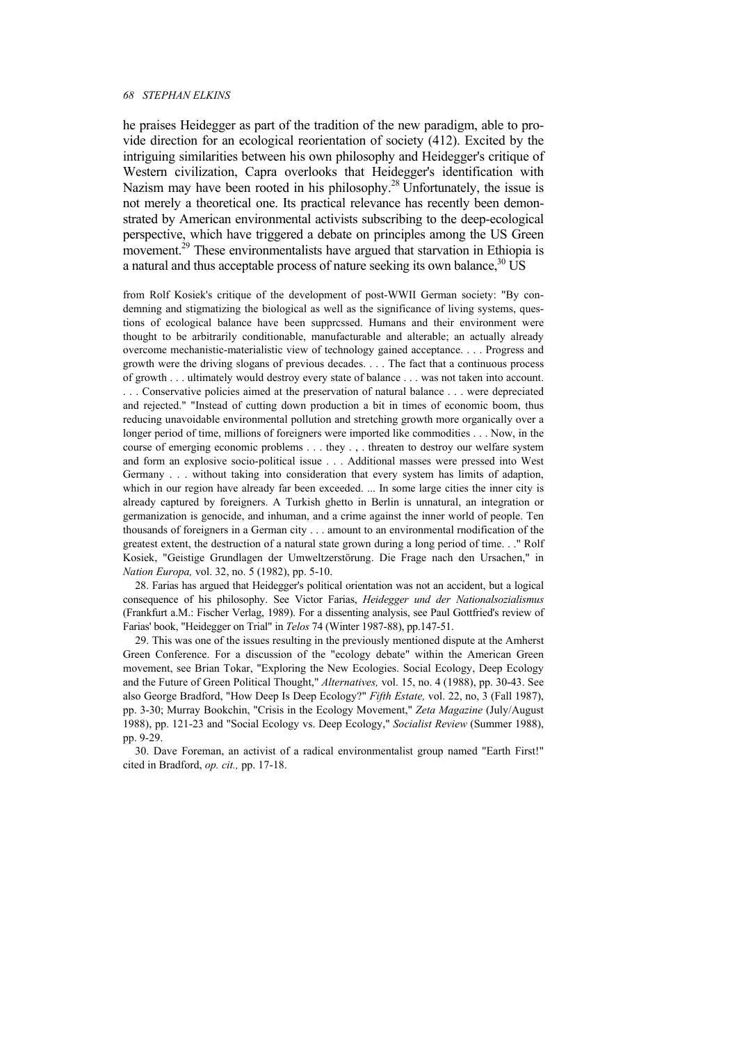he praises Heidegger as part of the tradition of the new paradigm, able to provide direction for an ecological reorientation of society (412). Excited by the intriguing similarities between his own philosophy and Heidegger's critique of Western civilization, Capra overlooks that Heidegger's identification with Nazism may have been rooted in his philosophy.<sup>28</sup> Unfortunately, the issue is not merely a theoretical one. Its practical relevance has recently been demonstrated by American environmental activists subscribing to the deep-ecological perspective, which have triggered a debate on principles among the US Green movement.<sup>29</sup> These environmentalists have argued that starvation in Ethiopia is a natural and thus acceptable process of nature seeking its own balance,  $30 \text{ US}$ 

from Rolf Kosiek's critique of the development of post-WWII German society: "By condemning and stigmatizing the biological as well as the significance of living systems, questions of ecological balance have been supprcssed. Humans and their environment were thought to be arbitrarily conditionable, manufacturable and alterable; an actually already overcome mechanistic-materialistic view of technology gained acceptance. . . . Progress and growth were the driving slogans of previous decades. . . . The fact that a continuous process of growth . . . ultimately would destroy every state of balance . . . was not taken into account. . . . Conservative policies aimed at the preservation of natural balance . . . were depreciated and rejected." "Instead of cutting down production a bit in times of economic boom, thus reducing unavoidable environmental pollution and stretching growth more organically over a longer period of time, millions of foreigners were imported like commodities . . . Now, in the course of emerging economic problems . . . they . , . threaten to destroy our welfare system and form an explosive socio-political issue . . . Additional masses were pressed into West Germany . . . without taking into consideration that every system has limits of adaption, which in our region have already far been exceeded. ... In some large cities the inner city is already captured by foreigners. A Turkish ghetto in Berlin is unnatural, an integration or germanization is genocide, and inhuman, and a crime against the inner world of people. Ten thousands of foreigners in a German city . . . amount to an environmental rnodification of the greatest extent, the destruction of a natural state grown during a long period of time. . ." Rolf Kosiek, "Geistige Grundlagen der Umweltzerstörung. Die Frage nach den Ursachen," in *Nation Europa,* vol. 32, no. 5 (1982), pp. 5-10.

28. Farias has argued that Heidegger's political orientation was not an accident, but a logical consequence of his philosophy. See Victor Farias, *Heidegger und der Nationalsozialismus* (Frankfurt a.M.: Fischer Verlag, 1989). For a dissenting analysis, see Paul Gottfried's review of Farias' book, "Heidegger on Trial" in *Telos* 74 (Winter 1987-88), pp.147-51.

29. This was one of the issues resulting in the previously mentioned dispute at the Amherst Green Conference. For a discussion of the "ecology debate" within the American Green movement, see Brian Tokar, "Exploring the New Ecologies. Social Ecology, Deep Ecology and the Future of Green Political Thought," *Alternatives,* vol. 15, no. 4 (1988), pp. 30-43. See also George Bradford, "How Deep Is Deep Ecology?" *Fifth Estate,* vol. 22, no, 3 (Fall 1987), pp. 3-30; Murray Bookchin, "Crisis in the Ecology Movement," *Zeta Magazine* (July/August 1988), pp. 121-23 and "Social Ecology vs. Deep Ecology," *Socialist Review* (Summer 1988), pp. 9-29.

30. Dave Foreman, an activist of a radical environmentalist group named "Earth First!" cited in Bradford, *op. cit.,* pp. 17-18.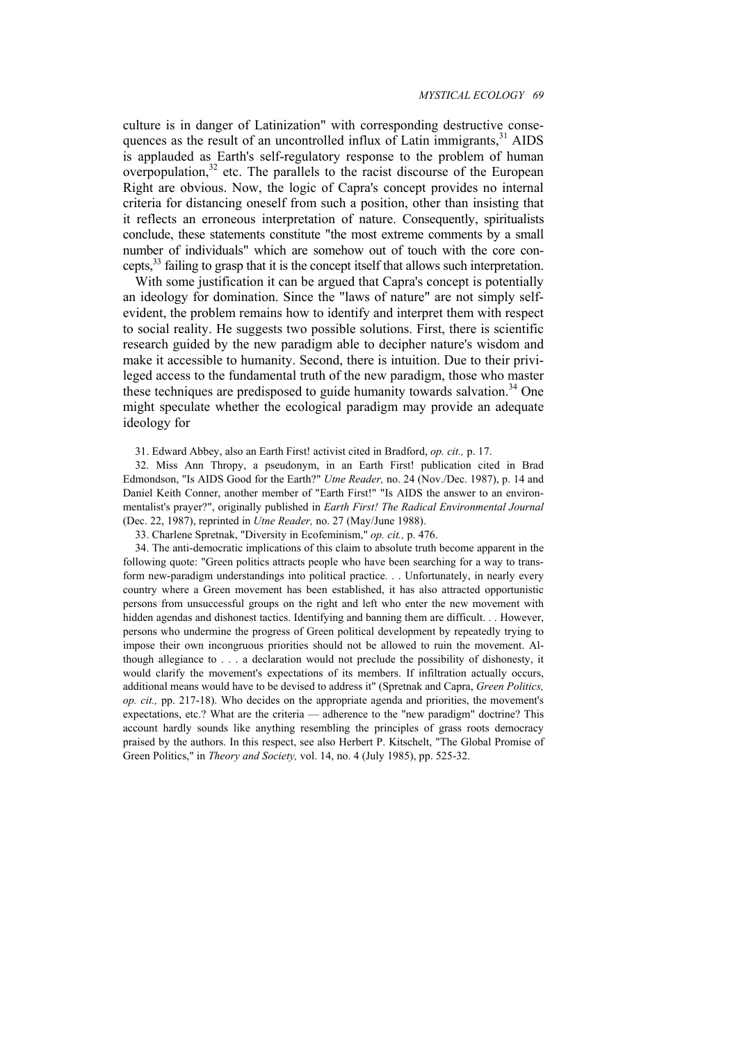culture is in danger of Latinization" with corresponding destructive consequences as the result of an uncontrolled influx of Latin immigrants, $31$  AIDS is applauded as Earth's self-regulatory response to the problem of human overpopulation, $32$  etc. The parallels to the racist discourse of the European Right are obvious. Now, the logic of Capra's concept provides no internal criteria for distancing oneself from such a position, other than insisting that it reflects an erroneous interpretation of nature. Consequently, spiritualists conclude, these statements constitute "the most extreme comments by a small number of individuals" which are somehow out of touch with the core concepts,33 failing to grasp that it is the concept itself that allows such interpretation.

With some justification it can be argued that Capra's concept is potentially an ideology for domination. Since the "laws of nature" are not simply selfevident, the problem remains how to identify and interpret them with respect to social reality. He suggests two possible solutions. First, there is scientific research guided by the new paradigm able to decipher nature's wisdom and make it accessible to humanity. Second, there is intuition. Due to their privileged access to the fundamental truth of the new paradigm, those who master these techniques are predisposed to guide humanity towards salvation.<sup>34</sup> One might speculate whether the ecological paradigm may provide an adequate ideology for

31. Edward Abbey, also an Earth First! activist cited in Bradford, *op. cit.,* p. 17.

32. Miss Ann Thropy, a pseudonym, in an Earth First! publication cited in Brad Edmondson, "Is AIDS Good for the Earth?" *Utne Reader,* no. 24 (Nov./Dec. 1987), p. 14 and Daniel Keith Conner, another member of "Earth First!" "Is AIDS the answer to an environmentalist's prayer?", originally published in *Earth First! The Radical Environmental Journal* (Dec. 22, 1987), reprinted in *Utne Reader,* no. 27 (May/June 1988).

33. Charlene Spretnak, "Diversity in Ecofeminism," *op. cit.,* p. 476.

34. The anti-democratic implications of this claim to absolute truth become apparent in the following quote: "Green politics attracts people who have been searching for a way to transform new-paradigm understandings into political practice. . . Unfortunately, in nearly every country where a Green movement has been established, it has also attracted opportunistic persons from unsuccessful groups on the right and left who enter the new movement with hidden agendas and dishonest tactics. Identifying and banning them are difficult. . . However, persons who undermine the progress of Green political development by repeatedly trying to impose their own incongruous priorities should not be allowed to ruin the movement. Although allegiance to . . . a declaration would not preclude the possibility of dishonesty, it would clarify the movement's expectations of its members. If infiltration actually occurs, additional means would have to be devised to address it" (Spretnak and Capra, *Green Politics, op. cit.,* pp. 217-18). Who decides on the appropriate agenda and priorities, the movement's expectations, etc.? What are the criteria — adherence to the "new paradigm" doctrine? This account hardly sounds like anything resembling the principles of grass roots democracy praised by the authors. In this respect, see also Herbert P. Kitschelt, "The Global Promise of Green Politics," in *Theory and Society,* vol. 14, no. 4 (July 1985), pp. 525-32.